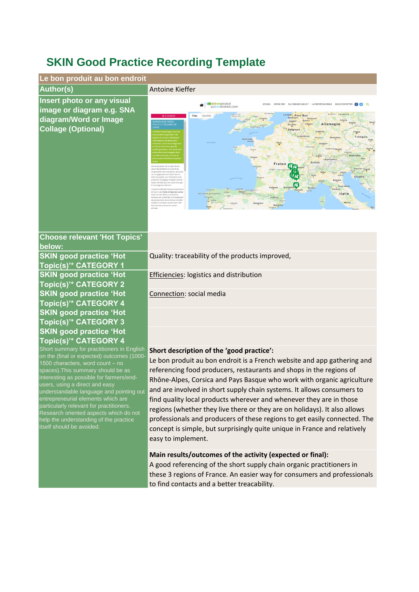## **SKIN Good Practice Recording Template**



## **Short description of the 'good practice':** Short summary for practitioners in English on the (final or expected) outcomes (1000-

1500 characters, word count – no spaces).This summary should be as interesting as possible for farmers/end-

understandable language and pointing out entrepreneurial elements which are particularly relevant for practitioners. Research oriented aspects which do not help the understanding of the practice

users, using a direct and easy

itself should be avoided.

Le bon produit au bon endroit is a French website and app gathering and referencing food producers, restaurants and shops in the regions of Rhône-Alpes, Corsica and Pays Basque who work with organic agriculture and are involved in short supply chain systems. It allows consumers to find quality local products wherever and whenever they are in those regions (whether they live there or they are on holidays). It also allows professionals and producers of these regions to get easily connected. The concept is simple, but surprisingly quite unique in France and relatively easy to implement.

## **Main results/outcomes of the activity (expected or final):**

A good referencing of the short supply chain organic practitioners in these 3 regions of France. An easier way for consumers and professionals to find contacts and a better treacability.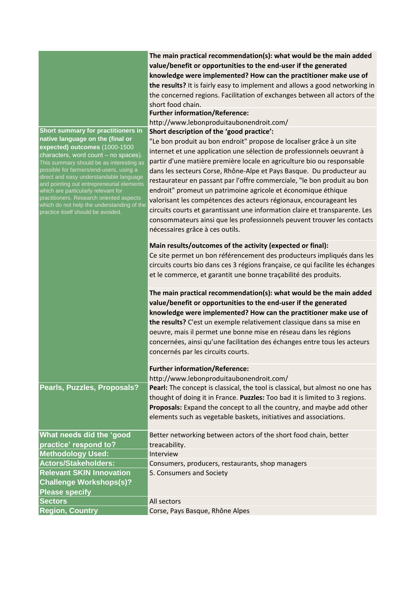|                                                                                                                                                                                                                                                                                                                                                                                                                                                                                                       | The main practical recommendation(s): what would be the main added<br>value/benefit or opportunities to the end-user if the generated<br>knowledge were implemented? How can the practitioner make use of<br>the results? It is fairly easy to implement and allows a good networking in<br>the concerned regions. Facilitation of exchanges between all actors of the<br>short food chain.<br><b>Further information/Reference:</b>                                                                                                                                                                                                                                                                                                                         |
|-------------------------------------------------------------------------------------------------------------------------------------------------------------------------------------------------------------------------------------------------------------------------------------------------------------------------------------------------------------------------------------------------------------------------------------------------------------------------------------------------------|--------------------------------------------------------------------------------------------------------------------------------------------------------------------------------------------------------------------------------------------------------------------------------------------------------------------------------------------------------------------------------------------------------------------------------------------------------------------------------------------------------------------------------------------------------------------------------------------------------------------------------------------------------------------------------------------------------------------------------------------------------------|
|                                                                                                                                                                                                                                                                                                                                                                                                                                                                                                       | http://www.lebonproduitaubonendroit.com/                                                                                                                                                                                                                                                                                                                                                                                                                                                                                                                                                                                                                                                                                                                     |
| Short summary for practitioners in<br>native language on the (final or<br>expected) outcomes (1000-1500<br>characters, word count - no spaces).<br>This summary should be as interesting as<br>possible for farmers/end-users, using a<br>direct and easy understandable language<br>and pointing out entrepreneurial elements<br>which are particularly relevant for<br>practitioners. Research oriented aspects<br>which do not help the understanding of the<br>practice itself should be avoided. | Short description of the 'good practice':<br>"Le bon produit au bon endroit" propose de localiser grâce à un site<br>internet et une application une sélection de professionnels oeuvrant à<br>partir d'une matière première locale en agriculture bio ou responsable<br>dans les secteurs Corse, Rhône-Alpe et Pays Basque. Du producteur au<br>restaurateur en passant par l'offre commerciale, "le bon produit au bon<br>endroit" promeut un patrimoine agricole et économique éthique<br>valorisant les compétences des acteurs régionaux, encourageant les<br>circuits courts et garantissant une information claire et transparente. Les<br>consommateurs ainsi que les professionnels peuvent trouver les contacts<br>nécessaires grâce à ces outils. |
|                                                                                                                                                                                                                                                                                                                                                                                                                                                                                                       | Main results/outcomes of the activity (expected or final):<br>Ce site permet un bon référencement des producteurs impliqués dans les<br>circuits courts bio dans ces 3 régions française, ce qui facilite les échanges<br>et le commerce, et garantit une bonne traçabilité des produits.                                                                                                                                                                                                                                                                                                                                                                                                                                                                    |
|                                                                                                                                                                                                                                                                                                                                                                                                                                                                                                       | The main practical recommendation(s): what would be the main added<br>value/benefit or opportunities to the end-user if the generated<br>knowledge were implemented? How can the practitioner make use of<br>the results? C'est un exemple relativement classique dans sa mise en<br>oeuvre, mais il permet une bonne mise en réseau dans les régions<br>concernées, ainsi qu'une facilitation des échanges entre tous les acteurs<br>concernés par les circuits courts.                                                                                                                                                                                                                                                                                     |
|                                                                                                                                                                                                                                                                                                                                                                                                                                                                                                       | <b>Further information/Reference:</b>                                                                                                                                                                                                                                                                                                                                                                                                                                                                                                                                                                                                                                                                                                                        |
|                                                                                                                                                                                                                                                                                                                                                                                                                                                                                                       | http://www.lebonproduitaubonendroit.com/                                                                                                                                                                                                                                                                                                                                                                                                                                                                                                                                                                                                                                                                                                                     |
| Pearls, Puzzles, Proposals?                                                                                                                                                                                                                                                                                                                                                                                                                                                                           | Pearl: The concept is classical, the tool is classical, but almost no one has<br>thought of doing it in France. Puzzles: Too bad it is limited to 3 regions.<br>Proposals: Expand the concept to all the country, and maybe add other<br>elements such as vegetable baskets, initiatives and associations.                                                                                                                                                                                                                                                                                                                                                                                                                                                   |
| What needs did the 'good                                                                                                                                                                                                                                                                                                                                                                                                                                                                              | Better networking between actors of the short food chain, better                                                                                                                                                                                                                                                                                                                                                                                                                                                                                                                                                                                                                                                                                             |
| practice' respond to?                                                                                                                                                                                                                                                                                                                                                                                                                                                                                 | treacability.                                                                                                                                                                                                                                                                                                                                                                                                                                                                                                                                                                                                                                                                                                                                                |
| <b>Methodology Used:</b>                                                                                                                                                                                                                                                                                                                                                                                                                                                                              | Interview                                                                                                                                                                                                                                                                                                                                                                                                                                                                                                                                                                                                                                                                                                                                                    |
| <b>Actors/Stakeholders:</b>                                                                                                                                                                                                                                                                                                                                                                                                                                                                           | Consumers, producers, restaurants, shop managers                                                                                                                                                                                                                                                                                                                                                                                                                                                                                                                                                                                                                                                                                                             |
| <b>Relevant SKIN Innovation</b><br><b>Challenge Workshops(s)?</b><br><b>Please specify</b>                                                                                                                                                                                                                                                                                                                                                                                                            | 5. Consumers and Society                                                                                                                                                                                                                                                                                                                                                                                                                                                                                                                                                                                                                                                                                                                                     |
| <b>Sectors</b>                                                                                                                                                                                                                                                                                                                                                                                                                                                                                        | All sectors                                                                                                                                                                                                                                                                                                                                                                                                                                                                                                                                                                                                                                                                                                                                                  |
| <b>Region, Country</b>                                                                                                                                                                                                                                                                                                                                                                                                                                                                                | Corse, Pays Basque, Rhône Alpes                                                                                                                                                                                                                                                                                                                                                                                                                                                                                                                                                                                                                                                                                                                              |
|                                                                                                                                                                                                                                                                                                                                                                                                                                                                                                       |                                                                                                                                                                                                                                                                                                                                                                                                                                                                                                                                                                                                                                                                                                                                                              |